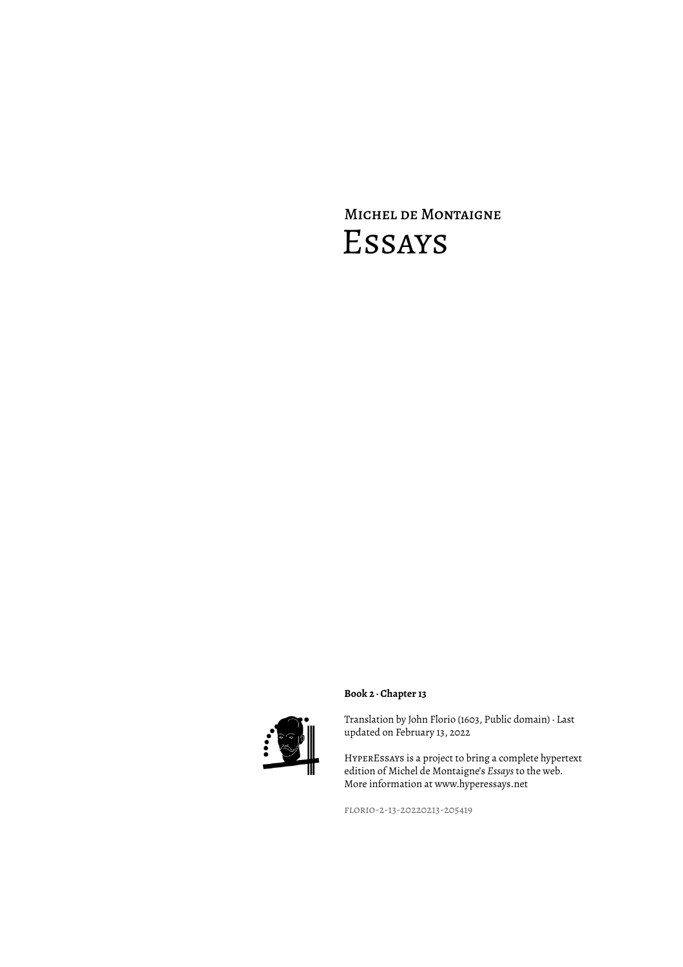# Michel de Montaigne Essays



### **Book 2 · Chapter 13**

Translation by John Florio (1603, Public domain) · Last updated on February 13, 2022

HyperEssays is a project to bring a complete hypertext edition of Michel de Montaigne's *Essays* to the web. More information at www.hyperessays.net

florio-2-13-20220213-205419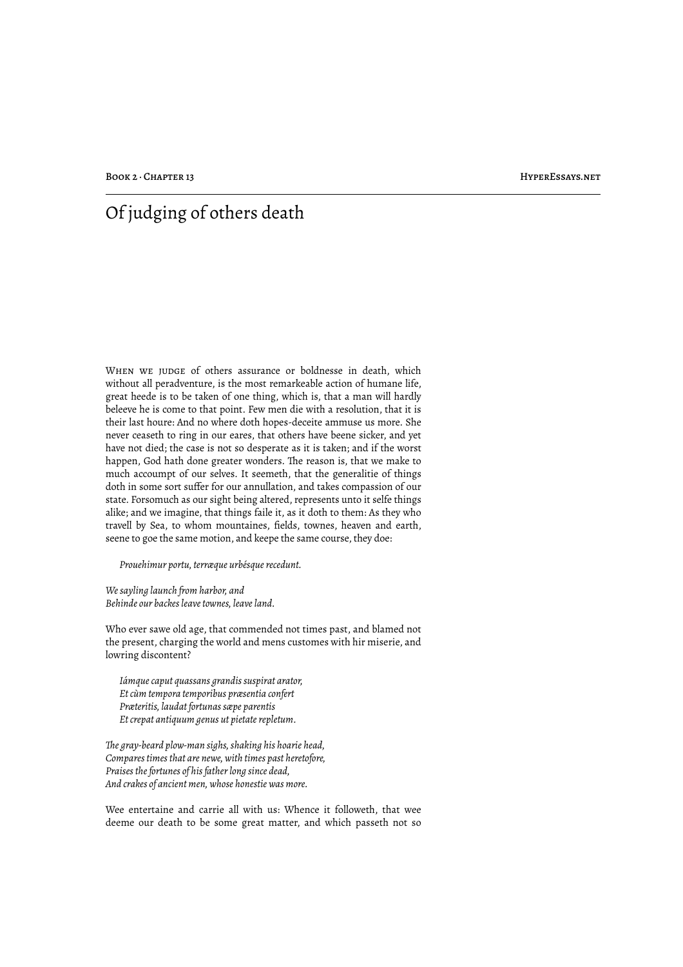## Of judging of others death

WHEN WE JUDGE of others assurance or boldnesse in death, which without all peradventure, is the most remarkeable action of humane life, great heede is to be taken of one thing, which is, that a man will hardly beleeve he is come to that point. Few men die with a resolution, that it is their last houre: And no where doth hopes-deceite ammuse us more. She never ceaseth to ring in our eares, that others have beene sicker, and yet have not died; the case is not so desperate as it is taken; and if the worst happen, God hath done greater wonders. The reason is, that we make to much accoumpt of our selves. It seemeth, that the generalitie of things doth in some sort suffer for our annullation, and takes compassion of our state. Forsomuch as our sight being altered, represents unto it selfe things alike; and we imagine, that things faile it, as it doth to them: As they who travell by Sea, to whom mountaines, fields, townes, heaven and earth, seene to goe the same motion, and keepe the same course, they doe:

*Prouehimur portu, terræque urbésque recedunt.*

*We sayling launch from harbor, and Behinde our backes leave townes, leave land.*

Who ever sawe old age, that commended not times past, and blamed not the present, charging the world and mens customes with hir miserie, and lowring discontent?

*Iámque caput quassans grandis suspirat arator, Et cùm tempora temporibus præsentia confert Præteritis, laudat fortunas sæpe parentis Et crepat antiquum genus ut pietate repletum.*

*!e gray-beard plow-man sighs, shaking his hoarie head, Compares times that are newe, with times past heretofore, Praises the fortunes of his father long since dead, And crakes of ancient men, whose honestie was more.*

Wee entertaine and carrie all with us: Whence it followeth, that wee deeme our death to be some great matter, and which passeth not so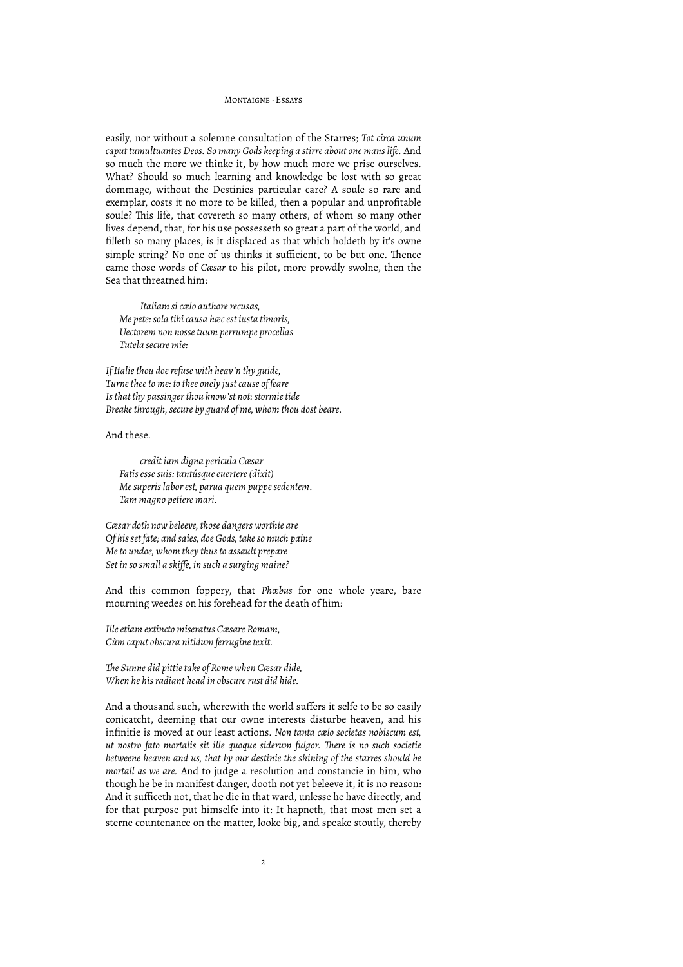easily, nor without a solemne consultation of the Starres; *Tot circa unum caput tumultuantes Deos. So many Gods keeping a stirre about one mans life.* And so much the more we thinke it, by how much more we prise ourselves. What? Should so much learning and knowledge be lost with so great dommage, without the Destinies particular care? A soule so rare and exemplar, costs it no more to be killed, then a popular and unprofitable soule? This life, that covereth so many others, of whom so many other lives depend, that, for his use possesseth so great a part of the world, and filleth so many places, is it displaced as that which holdeth by it's owne simple string? No one of us thinks it sufficient, to be but one. Thence came those words of *Cæsar* to his pilot, more prowdly swolne, then the Sea that threatned him:

*Italiam si cælo authore recusas, Me pete: sola tibi causa hæc est iusta timoris, Uectorem non nosse tuum perrumpe procellas Tutela secure mie:*

*If Italie thou doe refuse with heav'n thy guide, Turne thee to me: to thee onely just cause of feare Is that thy passinger thou know'st not: stormie tide Breake through, secure by guard of me, whom thou dost beare.*

And these.

*credit iam digna pericula Cæsar Fatis esse suis: tantúsque euertere (dixit) Me superis labor est, parua quem puppe sedentem. Tam magno petiere mari.*

*Cæsar doth now beleeve, those dangers worthie are Of his set fate; and saies, doe Gods, take so much paine Me to undoe, whom they thus to assault prepare Set in so small a skiffe, in such a surging maine?*

And this common foppery, that *Phœbus* for one whole yeare, bare mourning weedes on his forehead for the death of him:

*Ille etiam extincto miseratus Cæsare Romam, Cùm caput obscura nitidum ferrugine texit.*

*!e Sunne did pittie take of Rome when Cæsar dide, When he his radiant head in obscure rust did hide.*

And a thousand such, wherewith the world suffers it selfe to be so easily conicatcht, deeming that our owne interests disturbe heaven, and his infinitie is moved at our least actions. *Non tanta cælo societas nobiscum est, ut nostro fato mortalis sit ille quoque siderum fulgor. !ere is no such societie betweene heaven and us, that by our destinie the shining of the starres should be mortall as we are.* And to judge a resolution and constancie in him, who though he be in manifest danger, dooth not yet beleeve it, it is no reason: And it sufficeth not, that he die in that ward, unlesse he have directly, and for that purpose put himselfe into it: It hapneth, that most men set a sterne countenance on the matter, looke big, and speake stoutly, thereby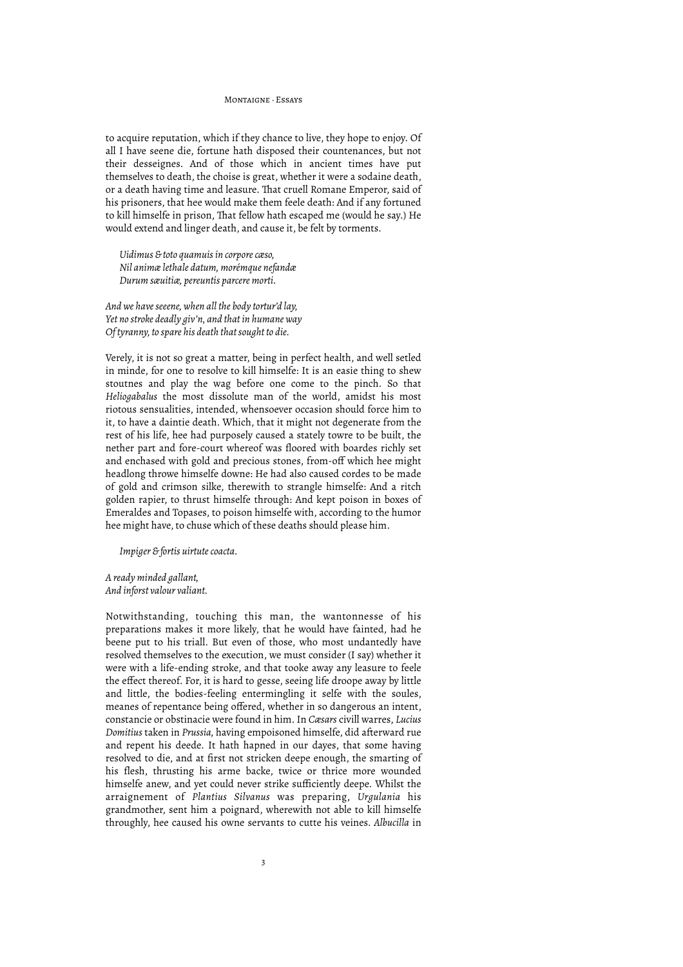to acquire reputation, which if they chance to live, they hope to enjoy. Of all I have seene die, fortune hath disposed their countenances, but not their desseignes. And of those which in ancient times have put themselves to death, the choise is great, whether it were a sodaine death, or a death having time and leasure. That cruell Romane Emperor, said of his prisoners, that hee would make them feele death: And if any fortuned to kill himselfe in prison, That fellow hath escaped me (would he say.) He would extend and linger death, and cause it, be felt by torments.

*Uidimus & toto quamuis in corpore cæso, Nil animæ lethale datum, morémque nefandæ Durum sæuitiæ, pereuntis parcere morti.*

*And we have seeene, when all the body tortur'd lay, Yet no stroke deadly giv'n, and that in humane way Of tyranny, to spare his death that sought to die.*

Verely, it is not so great a matter, being in perfect health, and well setled in minde, for one to resolve to kill himselfe: It is an easie thing to shew stoutnes and play the wag before one come to the pinch. So that *Heliogabalus* the most dissolute man of the world, amidst his most riotous sensualities, intended, whensoever occasion should force him to it, to have a daintie death. Which, that it might not degenerate from the rest of his life, hee had purposely caused a stately towre to be built, the nether part and fore-court whereof was floored with boardes richly set and enchased with gold and precious stones, from-off which hee might headlong throwe himselfe downe: He had also caused cordes to be made of gold and crimson silke, therewith to strangle himselfe: And a ritch golden rapier, to thrust himselfe through: And kept poison in boxes of Emeraldes and Topases, to poison himselfe with, according to the humor hee might have, to chuse which of these deaths should please him.

*Impiger & fortis uirtute coacta.*

*A ready minded gallant, And inforst valour valiant.*

Notwithstanding, touching this man, the wantonnesse of his preparations makes it more likely, that he would have fainted, had he beene put to his triall. But even of those, who most undantedly have resolved themselves to the execution, we must consider (I say) whether it were with a life-ending stroke, and that tooke away any leasure to feele the effect thereof. For, it is hard to gesse, seeing life droope away by little and little, the bodies-feeling entermingling it selfe with the soules, meanes of repentance being offered, whether in so dangerous an intent, constancie or obstinacie were found in him. In *Cæsars* civill warres, *Lucius Domitius* taken in *Prussia,* having empoisoned himselfe, did afterward rue and repent his deede. It hath hapned in our dayes, that some having resolved to die, and at first not stricken deepe enough, the smarting of his flesh, thrusting his arme backe, twice or thrice more wounded himselfe anew, and yet could never strike sufficiently deepe. Whilst the arraignement of *Plantius Silvanus* was preparing, *Urgulania* his grandmother, sent him a poignard, wherewith not able to kill himselfe throughly, hee caused his owne servants to cutte his veines. *Albucilla* in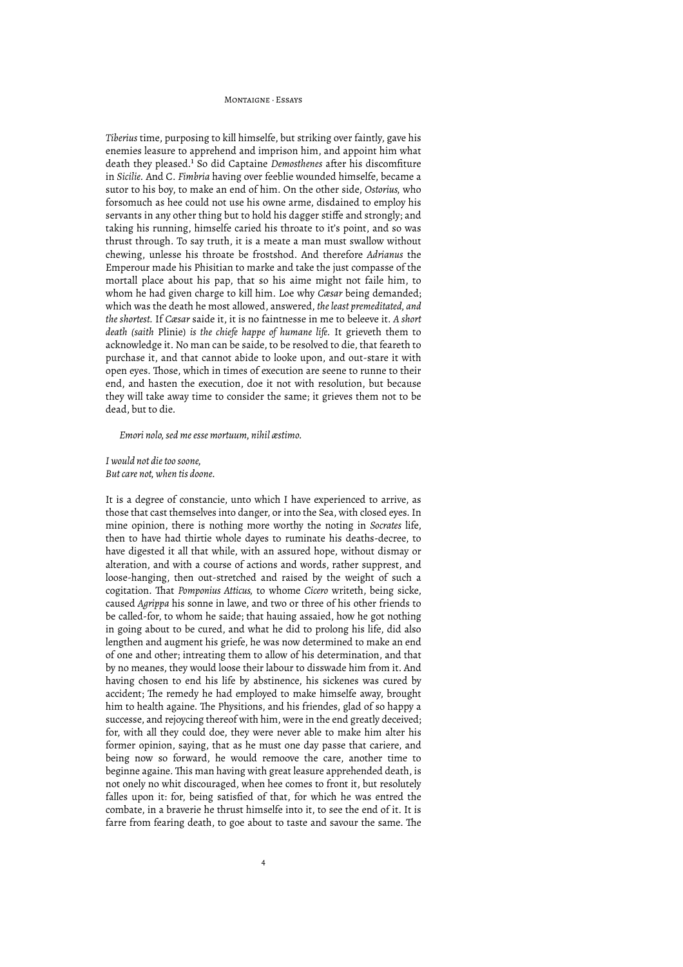*Tiberius* time, purposing to kill himselfe, but striking over faintly, gave his enemies leasure to apprehend and imprison him, and appoint him what death they pleased.<sup>1</sup> So did Captaine *Demosthenes* after his discomfiture in *Sicilie.* And C. *Fimbria* having over feeblie wounded himselfe, became a sutor to his boy, to make an end of him. On the other side, *Ostorius,* who forsomuch as hee could not use his owne arme, disdained to employ his servants in any other thing but to hold his dagger stiffe and strongly; and taking his running, himselfe caried his throate to it's point, and so was thrust through. To say truth, it is a meate a man must swallow without chewing, unlesse his throate be frostshod. And therefore *Adrianus* the Emperour made his Phisitian to marke and take the just compasse of the mortall place about his pap, that so his aime might not faile him, to whom he had given charge to kill him. Loe why *Cæsar* being demanded; which was the death he most allowed, answered, *the least premeditated, and the shortest.* If *Cæsar* saide it, it is no faintnesse in me to beleeve it. *A short death (saith* Plinie) *is the chiefe happe of humane life.* It grieveth them to acknowledge it. No man can be saide, to be resolved to die, that feareth to purchase it, and that cannot abide to looke upon, and out-stare it with open eyes. Those, which in times of execution are seene to runne to their end, and hasten the execution, doe it not with resolution, but because they will take away time to consider the same; it grieves them not to be dead, but to die.

*Emori nolo, sed me esse mortuum, nihil æstimo.*

*I would not die too soone, But care not, when tis doone.*

It is a degree of constancie, unto which I have experienced to arrive, as those that cast themselves into danger, or into the Sea, with closed eyes. In mine opinion, there is nothing more worthy the noting in *Socrates* life, then to have had thirtie whole dayes to ruminate his deaths-decree, to have digested it all that while, with an assured hope, without dismay or alteration, and with a course of actions and words, rather supprest, and loose-hanging, then out-stretched and raised by the weight of such a cogitation. That *Pomponius Atticus*, to whome *Cicero* writeth, being sicke, caused *Agrippa* his sonne in lawe, and two or three of his other friends to be called-for, to whom he saide; that hauing assaied, how he got nothing in going about to be cured, and what he did to prolong his life, did also lengthen and augment his griefe, he was now determined to make an end of one and other; intreating them to allow of his determination, and that by no meanes, they would loose their labour to disswade him from it. And having chosen to end his life by abstinence, his sickenes was cured by accident; The remedy he had employed to make himselfe away, brought him to health againe. The Physitions, and his friendes, glad of so happy a successe, and rejoycing thereof with him, were in the end greatly deceived; for, with all they could doe, they were never able to make him alter his former opinion, saying, that as he must one day passe that cariere, and being now so forward, he would remoove the care, another time to beginne againe. This man having with great leasure apprehended death, is not onely no whit discouraged, when hee comes to front it, but resolutely falles upon it: for, being satisfied of that, for which he was entred the combate, in a braverie he thrust himselfe into it, to see the end of it. It is farre from fearing death, to goe about to taste and savour the same. The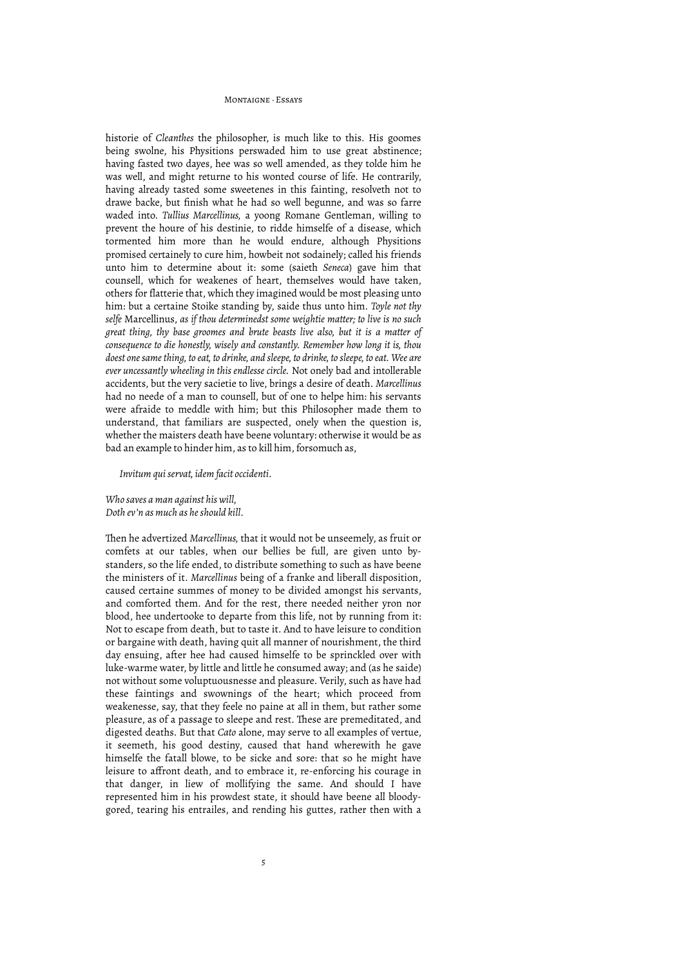historie of *Cleanthes* the philosopher, is much like to this. His goomes being swolne, his Physitions perswaded him to use great abstinence; having fasted two dayes, hee was so well amended, as they tolde him he was well, and might returne to his wonted course of life. He contrarily, having already tasted some sweetenes in this fainting, resolveth not to drawe backe, but finish what he had so well begunne, and was so farre waded into. *Tullius Marcellinus,* a yoong Romane Gentleman, willing to prevent the houre of his destinie, to ridde himselfe of a disease, which tormented him more than he would endure, although Physitions promised certainely to cure him, howbeit not sodainely; called his friends unto him to determine about it: some (saieth *Seneca*) gave him that counsell, which for weakenes of heart, themselves would have taken, others for flatterie that, which they imagined would be most pleasing unto him: but a certaine Stoike standing by, saide thus unto him. *Toyle not thy selfe* Marcellinus, *as if thou determinedst some weightie matter; to live is no such great thing, thy base groomes and brute beasts live also, but it is a matter of consequence to die honestly, wisely and constantly. Remember how long it is, thou doest one same thing, to eat, to drinke, and sleepe, to drinke, to sleepe, to eat. Wee are ever uncessantly wheeling in this endlesse circle.* Not onely bad and intollerable accidents, but the very sacietie to live, brings a desire of death. *Marcellinus* had no neede of a man to counsell, but of one to helpe him: his servants were afraide to meddle with him; but this Philosopher made them to understand, that familiars are suspected, onely when the question is, whether the maisters death have beene voluntary: otherwise it would be as bad an example to hinder him, as to kill him, forsomuch as,

#### *Invitum qui servat, idem facit occidenti.*

*Who saves a man against his will, Doth ev'n as much as he should kill.*

Then he advertized *Marcellinus*, that it would not be unseemely, as fruit or comfets at our tables, when our bellies be full, are given unto bystanders, so the life ended, to distribute something to such as have beene the ministers of it. *Marcellinus* being of a franke and liberall disposition, caused certaine summes of money to be divided amongst his servants, and comforted them. And for the rest, there needed neither yron nor blood, hee undertooke to departe from this life, not by running from it: Not to escape from death, but to taste it. And to have leisure to condition or bargaine with death, having quit all manner of nourishment, the third day ensuing, after hee had caused himselfe to be sprinckled over with luke-warme water, by little and little he consumed away; and (as he saide) not without some voluptuousnesse and pleasure. Verily, such as have had these faintings and swownings of the heart; which proceed from weakenesse, say, that they feele no paine at all in them, but rather some pleasure, as of a passage to sleepe and rest. These are premeditated, and digested deaths. But that *Cato* alone, may serve to all examples of vertue, it seemeth, his good destiny, caused that hand wherewith he gave himselfe the fatall blowe, to be sicke and sore: that so he might have leisure to affront death, and to embrace it, re-enforcing his courage in that danger, in liew of mollifying the same. And should I have represented him in his prowdest state, it should have beene all bloodygored, tearing his entrailes, and rending his guttes, rather then with a